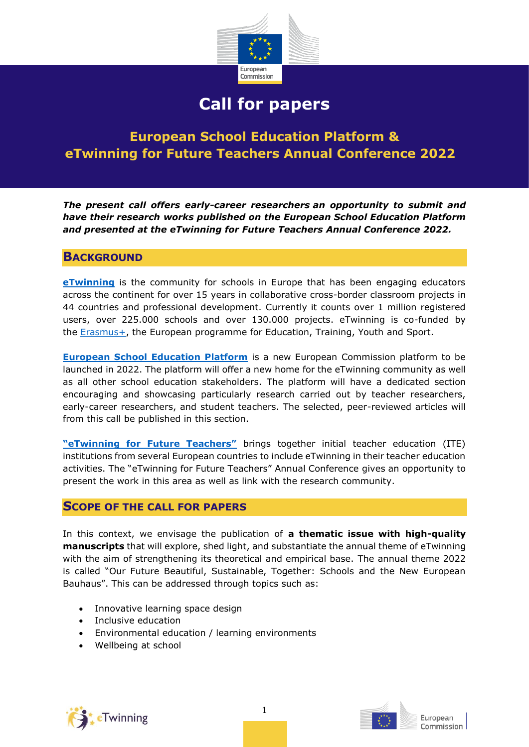

# **Call for papers**

## **European School Education Platform & eTwinning for Future Teachers Annual Conference 2022**

*The present call offers early-career researchers an opportunity to submit and have their research works published on the European School Education Platform and presented at the eTwinning for Future Teachers Annual Conference 2022.* 

## **BACKGROUND**

**[eTwinning](https://www.etwinning.net/)** is the community for schools in Europe that has been engaging educators across the continent for over 15 years in collaborative cross-border classroom projects in 44 countries and professional development. Currently it counts over 1 million registered users, over 225.000 schools and over 130.000 projects. eTwinning is co-funded by the [Erasmus+,](https://ec.europa.eu/programmes/erasmus-plus/node_en) the European programme for Education, Training, Youth and Sport.

**[European School Education Platform](https://www.schooleducationgateway.eu/en/pub/latest/news/countdown-school-edu-platform.htm)** is a new European Commission platform to be launched in 2022. The platform will offer a new home for the eTwinning community as well as all other school education stakeholders. The platform will have a dedicated section encouraging and showcasing particularly research carried out by teacher researchers, early-career researchers, and student teachers. The selected, peer-reviewed articles will from this call be published in this section.

**["eTwinning for Future Teachers"](https://www.etwinning.net/en/pub/benefits/learning-opportunities/teacher-training-institutes.htm)** brings together initial teacher education (ITE) institutions from several European countries to include eTwinning in their teacher education activities. The "eTwinning for Future Teachers" Annual Conference gives an opportunity to present the work in this area as well as link with the research community.

## **SCOPE OF THE CALL FOR PAPERS**

In this context, we envisage the publication of **a thematic issue with high-quality manuscripts** that will explore, shed light, and substantiate the annual theme of eTwinning with the aim of strengthening its theoretical and empirical base. The annual theme 2022 is called "Our Future Beautiful, Sustainable, Together: Schools and the New European Bauhaus". This can be addressed through topics such as:

- Innovative learning space design
- Inclusive education
- Environmental education / learning environments
- Wellbeing at school



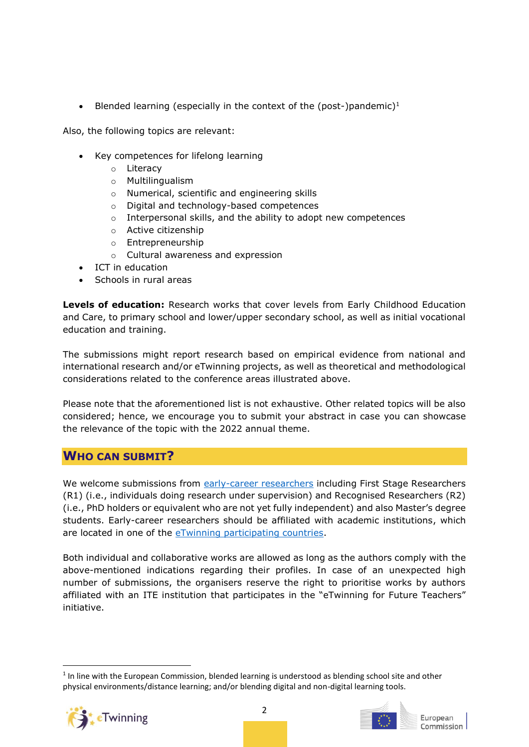• Blended learning (especially in the context of the (post-)pandemic)<sup>1</sup>

Also, the following topics are relevant:

- Key competences for lifelong learning
	- o Literacy
	- o Multilingualism
	- o Numerical, scientific and engineering skills
	- o Digital and technology-based competences
	- o Interpersonal skills, and the ability to adopt new competences
	- o Active citizenship
	- o Entrepreneurship
	- o Cultural awareness and expression
- ICT in education
- Schools in rural areas

**Levels of education:** Research works that cover levels from Early Childhood Education and Care, to primary school and lower/upper secondary school, as well as initial vocational education and training.

The submissions might report research based on empirical evidence from national and international research and/or eTwinning projects, as well as theoretical and methodological considerations related to the conference areas illustrated above.

Please note that the aforementioned list is not exhaustive. Other related topics will be also considered; hence, we encourage you to submit your abstract in case you can showcase the relevance of the topic with the 2022 annual theme.

## **WHO CAN SUBMIT?**

We welcome submissions from [early-career researchers](https://euraxess.ec.europa.eu/europe/career-development/training-researchers/research-profiles-descriptors) including First Stage Researchers (R1) (i.e., individuals doing research under supervision) and Recognised Researchers (R2) (i.e., PhD holders or equivalent who are not yet fully independent) and also Master's degree students. Early-career researchers should be affiliated with academic institutions, which are located in one of the [eTwinning participating countries.](https://www.etwinning.net/en/pub/community/countries.cfm)

Both individual and collaborative works are allowed as long as the authors comply with the above-mentioned indications regarding their profiles. In case of an unexpected high number of submissions, the organisers reserve the right to prioritise works by authors affiliated with an ITE institution that participates in the "eTwinning for Future Teachers" initiative.

<sup>&</sup>lt;sup>1</sup> In line with the European Commission, blended learning is understood as blending school site and other physical environments/distance learning; and/or blending digital and non-digital learning tools.



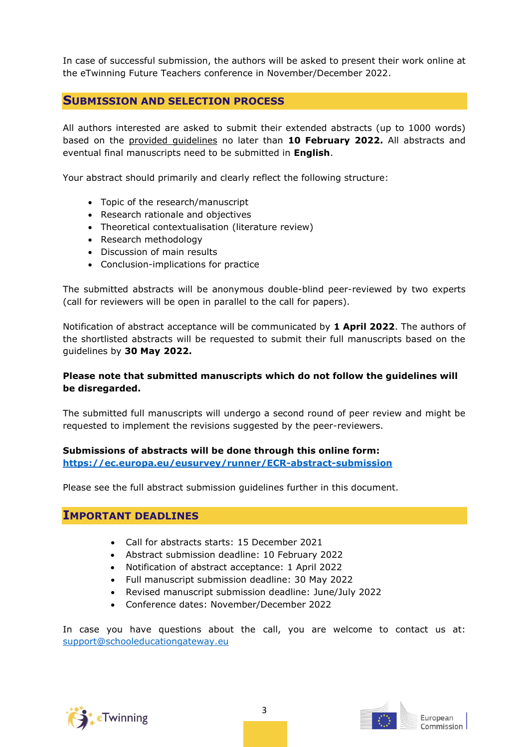In case of successful submission, the authors will be asked to present their work online at the eTwinning Future Teachers conference in November/December 2022.

## **SUBMISSION AND SELECTION PROCESS**

All authors interested are asked to submit their extended abstracts (up to 1000 words) based on the provided guidelines no later than **10 February 2022.** All abstracts and eventual final manuscripts need to be submitted in **English**.

Your abstract should primarily and clearly reflect the following structure:

- Topic of the research/manuscript
- Research rationale and objectives
- Theoretical contextualisation (literature review)
- Research methodology
- Discussion of main results
- Conclusion-implications for practice

The submitted abstracts will be anonymous double-blind peer-reviewed by two experts (call for reviewers will be open in parallel to the call for papers).

Notification of abstract acceptance will be communicated by **1 April 2022**. The authors of the shortlisted abstracts will be requested to submit their full manuscripts based on the guidelines by **30 May 2022.**

### **Please note that submitted manuscripts which do not follow the guidelines will be disregarded.**

The submitted full manuscripts will undergo a second round of peer review and might be requested to implement the revisions suggested by the peer-reviewers.

### **Submissions of abstracts will be done through this online form: <https://ec.europa.eu/eusurvey/runner/ECR-abstract-submission>**

Please see the full abstract submission guidelines further in this document.

## **IMPORTANT DEADLINES**

- Call for abstracts starts: 15 December 2021
- Abstract submission deadline: 10 February 2022
- Notification of abstract acceptance: 1 April 2022
- Full manuscript submission deadline: 30 May 2022
- Revised manuscript submission deadline: June/July 2022
- Conference dates: November/December 2022

In case you have questions about the call, you are welcome to contact us at: [support@schooleducationgateway.eu](mailto:support@schooleducationgateway.eu)



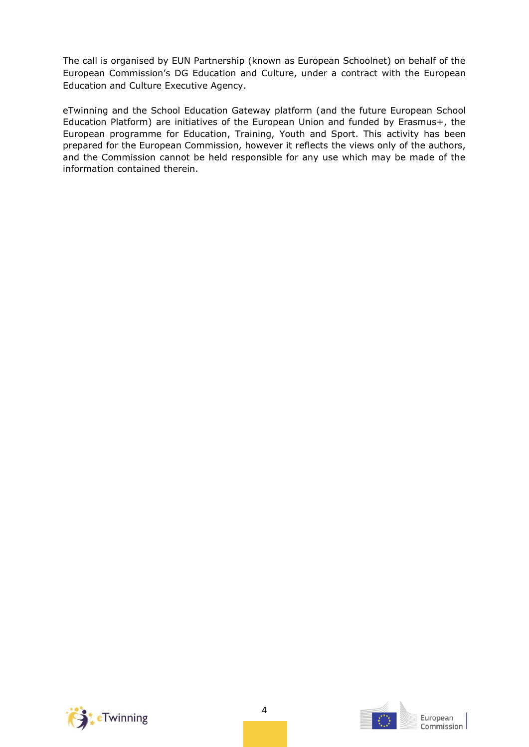The call is organised by EUN Partnership (known as European Schoolnet) on behalf of the European Commission's DG Education and Culture, under a contract with the European Education and Culture Executive Agency.

eTwinning and the School Education Gateway platform (and the future European School Education Platform) are initiatives of the European Union and funded by Erasmus+, the European programme for Education, Training, Youth and Sport. This activity has been prepared for the European Commission, however it reflects the views only of the authors, and the Commission cannot be held responsible for any use which may be made of the information contained therein.



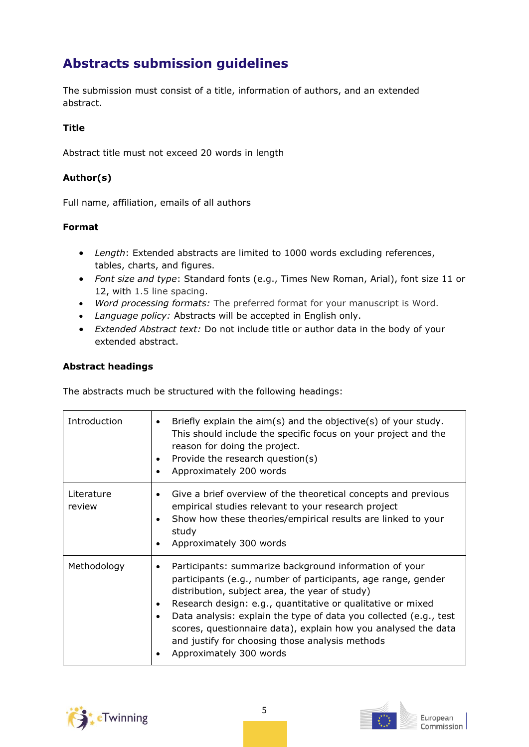## **Abstracts submission guidelines**

The submission must consist of a title, information of authors, and an extended abstract.

## **Title**

Abstract title must not exceed 20 words in length

## **Author(s)**

Full name, affiliation, emails of all authors

## **Format**

- *Length*: Extended abstracts are limited to 1000 words excluding references, tables, charts, and figures.
- *Font size and type*: Standard fonts (e.g., Times New Roman, Arial), font size 11 or 12, with 1.5 line spacing.
- *Word processing formats:* The preferred format for your manuscript is Word.
- *Language policy:* Abstracts will be accepted in English only.
- *Extended Abstract text:* Do not include title or author data in the body of your extended abstract.

### **Abstract headings**

The abstracts much be structured with the following headings:

| Introduction         | Briefly explain the aim(s) and the objective(s) of your study.<br>$\bullet$<br>This should include the specific focus on your project and the<br>reason for doing the project.<br>Provide the research question(s)<br>$\bullet$<br>Approximately 200 words                                                                                                                                                                                                                   |
|----------------------|------------------------------------------------------------------------------------------------------------------------------------------------------------------------------------------------------------------------------------------------------------------------------------------------------------------------------------------------------------------------------------------------------------------------------------------------------------------------------|
| Literature<br>review | Give a brief overview of the theoretical concepts and previous<br>$\bullet$<br>empirical studies relevant to your research project<br>Show how these theories/empirical results are linked to your<br>٠<br>study<br>Approximately 300 words<br>$\bullet$                                                                                                                                                                                                                     |
| Methodology          | Participants: summarize background information of your<br>٠<br>participants (e.g., number of participants, age range, gender<br>distribution, subject area, the year of study)<br>Research design: e.g., quantitative or qualitative or mixed<br>٠<br>Data analysis: explain the type of data you collected (e.g., test<br>٠<br>scores, questionnaire data), explain how you analysed the data<br>and justify for choosing those analysis methods<br>Approximately 300 words |



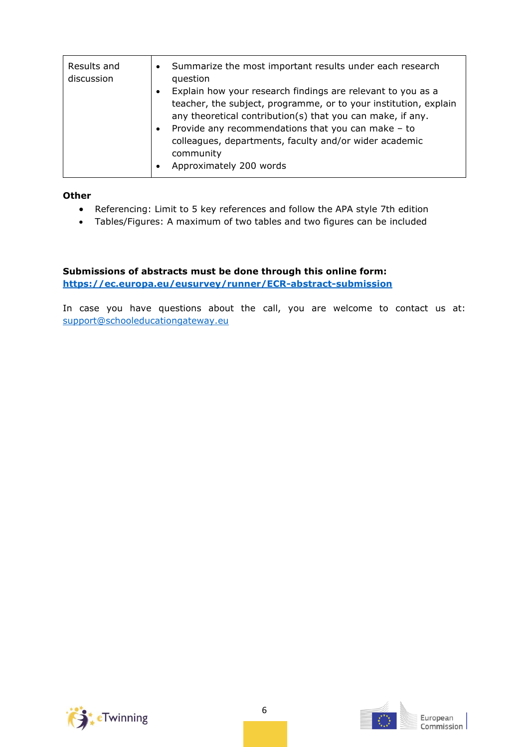| Results and<br>discussion | Summarize the most important results under each research<br>$\bullet$<br>question<br>Explain how your research findings are relevant to you as a<br>$\bullet$<br>teacher, the subject, programme, or to your institution, explain<br>any theoretical contribution(s) that you can make, if any.<br>Provide any recommendations that you can make - to<br>$\bullet$<br>colleagues, departments, faculty and/or wider academic<br>community |
|---------------------------|-------------------------------------------------------------------------------------------------------------------------------------------------------------------------------------------------------------------------------------------------------------------------------------------------------------------------------------------------------------------------------------------------------------------------------------------|
|                           | Approximately 200 words<br>$\bullet$                                                                                                                                                                                                                                                                                                                                                                                                      |

#### **Other**

- Referencing: Limit to 5 key references and follow the APA style 7th edition
- Tables/Figures: A maximum of two tables and two figures can be included

**Submissions of abstracts must be done through this online form: <https://ec.europa.eu/eusurvey/runner/ECR-abstract-submission>**

In case you have questions about the call, you are welcome to contact us at: [support@schooleducationgateway.eu](mailto:support@schooleducationgateway.eu)



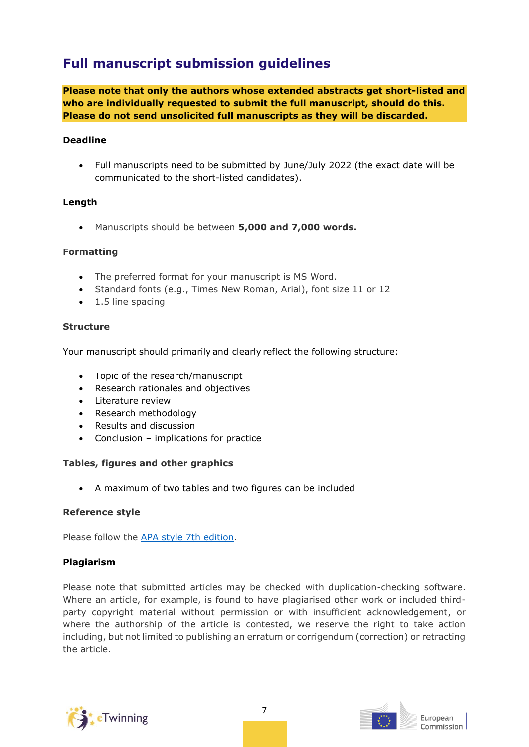## **Full manuscript submission guidelines**

**Please note that only the authors whose extended abstracts get short-listed and who are individually requested to submit the full manuscript, should do this. Please do not send unsolicited full manuscripts as they will be discarded.**

#### **Deadline**

• Full manuscripts need to be submitted by June/July 2022 (the exact date will be communicated to the short-listed candidates).

#### **Length**

• Manuscripts should be between **5,000 and 7,000 words.**

#### **Formatting**

- The preferred format for your manuscript is MS Word.
- Standard fonts (e.g., Times New Roman, Arial), font size 11 or 12
- 1.5 line spacing

#### **Structure**

Your manuscript should primarily and clearly reflect the following structure:  

- Topic of the research/manuscript
- Research rationales and objectives
- Literature review
- Research methodology
- Results and discussion
- Conclusion implications for practice

#### **Tables, figures and other graphics**

• A maximum of two tables and two figures can be included

#### **Reference style**

Please follow the [APA style 7th edition.](https://apastyle.apa.org/)

#### **Plagiarism**

Please note that submitted articles may be checked with duplication-checking software. Where an article, for example, is found to have plagiarised other work or included thirdparty copyright material without permission or with insufficient acknowledgement, or where the authorship of the article is contested, we reserve the right to take action including, but not limited to publishing an erratum or corrigendum (correction) or retracting the article.